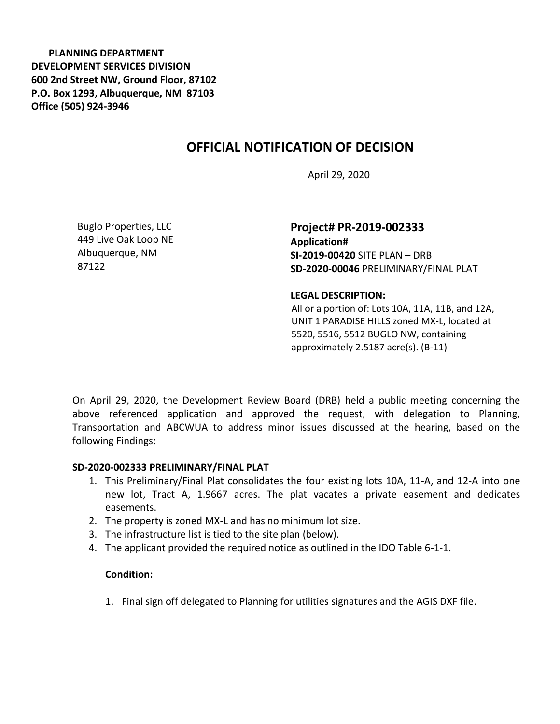**PLANNING DEPARTMENT DEVELOPMENT SERVICES DIVISION 600 2nd Street NW, Ground Floor, 87102 P.O. Box 1293, Albuquerque, NM 87103 Office (505) 924-3946** 

# **OFFICIAL NOTIFICATION OF DECISION**

April 29, 2020

Buglo Properties, LLC 449 Live Oak Loop NE Albuquerque, NM 87122

**Project# PR-2019-002333 Application# SI-2019-00420** SITE PLAN – DRB **SD-2020-00046** PRELIMINARY/FINAL PLAT

### **LEGAL DESCRIPTION:**

All or a portion of: Lots 10A, 11A, 11B, and 12A, UNIT 1 PARADISE HILLS zoned MX-L, located at 5520, 5516, 5512 BUGLO NW, containing approximately 2.5187 acre(s). (B-11)

On April 29, 2020, the Development Review Board (DRB) held a public meeting concerning the above referenced application and approved the request, with delegation to Planning, Transportation and ABCWUA to address minor issues discussed at the hearing, based on the following Findings:

## **SD-2020-002333 PRELIMINARY/FINAL PLAT**

- 1. This Preliminary/Final Plat consolidates the four existing lots 10A, 11-A, and 12-A into one new lot, Tract A, 1.9667 acres. The plat vacates a private easement and dedicates easements.
- 2. The property is zoned MX-L and has no minimum lot size.
- 3. The infrastructure list is tied to the site plan (below).
- 4. The applicant provided the required notice as outlined in the IDO Table 6-1-1.

#### **Condition:**

1. Final sign off delegated to Planning for utilities signatures and the AGIS DXF file.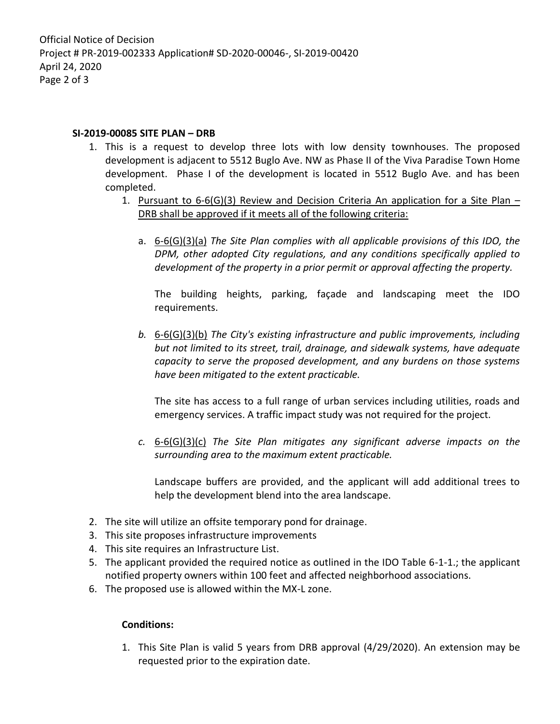## **SI-2019-00085 SITE PLAN – DRB**

- 1. This is a request to develop three lots with low density townhouses. The proposed development is adjacent to 5512 Buglo Ave. NW as Phase II of the Viva Paradise Town Home development. Phase I of the development is located in 5512 Buglo Ave. and has been completed.
	- 1. Pursuant to 6-6(G)(3) Review and Decision Criteria An application for a Site Plan DRB shall be approved if it meets all of the following criteria:
		- a. 6-6(G)(3)(a) *The Site Plan complies with all applicable provisions of this IDO, the DPM, other adopted City regulations, and any conditions specifically applied to development of the property in a prior permit or approval affecting the property.*

The building heights, parking, façade and landscaping meet the IDO requirements.

*b.* 6-6(G)(3)(b) *The City's existing infrastructure and public improvements, including but not limited to its street, trail, drainage, and sidewalk systems, have adequate capacity to serve the proposed development, and any burdens on those systems have been mitigated to the extent practicable.* 

The site has access to a full range of urban services including utilities, roads and emergency services. A traffic impact study was not required for the project.

*c.* 6-6(G)(3)(c) *The Site Plan mitigates any significant adverse impacts on the surrounding area to the maximum extent practicable.* 

Landscape buffers are provided, and the applicant will add additional trees to help the development blend into the area landscape.

- 2. The site will utilize an offsite temporary pond for drainage.
- 3. This site proposes infrastructure improvements
- 4. This site requires an Infrastructure List.
- 5. The applicant provided the required notice as outlined in the IDO Table 6-1-1.; the applicant notified property owners within 100 feet and affected neighborhood associations.
- 6. The proposed use is allowed within the MX-L zone.

#### **Conditions:**

1. This Site Plan is valid 5 years from DRB approval (4/29/2020). An extension may be requested prior to the expiration date.